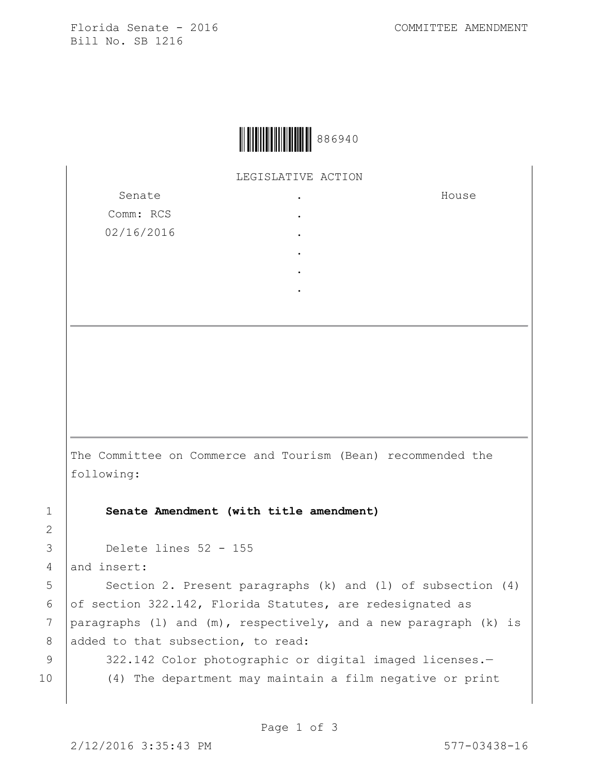Florida Senate - 2016 COMMITTEE AMENDMENT Bill No. SB 1216



LEGISLATIVE ACTION .

> . . . . .

Senate Comm: RCS 02/16/2016 House

The Committee on Commerce and Tourism (Bean) recommended the following:

1 **Senate Amendment (with title amendment)**

3 Delete lines 52 - 155

4 and insert:

5 | Section 2. Present paragraphs (k) and (1) of subsection (4) 6 of section 322.142, Florida Statutes, are redesignated as 7 | paragraphs (1) and  $(m)$ , respectively, and a new paragraph (k) is 8 added to that subsection, to read:

2

9 | 322.142 Color photographic or digital imaged licenses.-10 (4) The department may maintain a film negative or print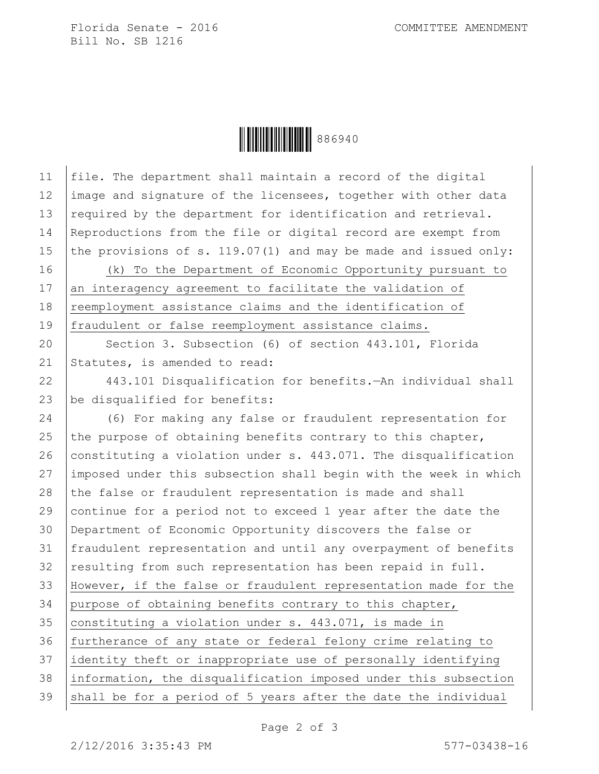Florida Senate - 2016 COMMITTEE AMENDMENT Bill No. SB 1216

Ì8869407Î886940

| 11 | file. The department shall maintain a record of the digital       |
|----|-------------------------------------------------------------------|
| 12 | image and signature of the licensees, together with other data    |
| 13 | required by the department for identification and retrieval.      |
| 14 | Reproductions from the file or digital record are exempt from     |
| 15 | the provisions of s. $119.07(1)$ and may be made and issued only: |
| 16 | (k) To the Department of Economic Opportunity pursuant to         |
| 17 | an interagency agreement to facilitate the validation of          |
| 18 | reemployment assistance claims and the identification of          |
| 19 | fraudulent or false reemployment assistance claims.               |
| 20 | Section 3. Subsection (6) of section 443.101, Florida             |
| 21 | Statutes, is amended to read:                                     |
| 22 | 443.101 Disqualification for benefits. - An individual shall      |
| 23 | be disqualified for benefits:                                     |
| 24 | (6) For making any false or fraudulent representation for         |
| 25 | the purpose of obtaining benefits contrary to this chapter,       |
| 26 | constituting a violation under s. 443.071. The disqualification   |
| 27 | imposed under this subsection shall begin with the week in which  |
| 28 | the false or fraudulent representation is made and shall          |
| 29 | continue for a period not to exceed 1 year after the date the     |
| 30 | Department of Economic Opportunity discovers the false or         |
| 31 | fraudulent representation and until any overpayment of benefits   |
| 32 | resulting from such representation has been repaid in full.       |
| 33 | However, if the false or fraudulent representation made for the   |
| 34 | purpose of obtaining benefits contrary to this chapter,           |
| 35 | constituting a violation under s. 443.071, is made in             |
| 36 | furtherance of any state or federal felony crime relating to      |
| 37 | identity theft or inappropriate use of personally identifying     |
| 38 | information, the disqualification imposed under this subsection   |
| 39 | shall be for a period of 5 years after the date the individual    |
|    |                                                                   |